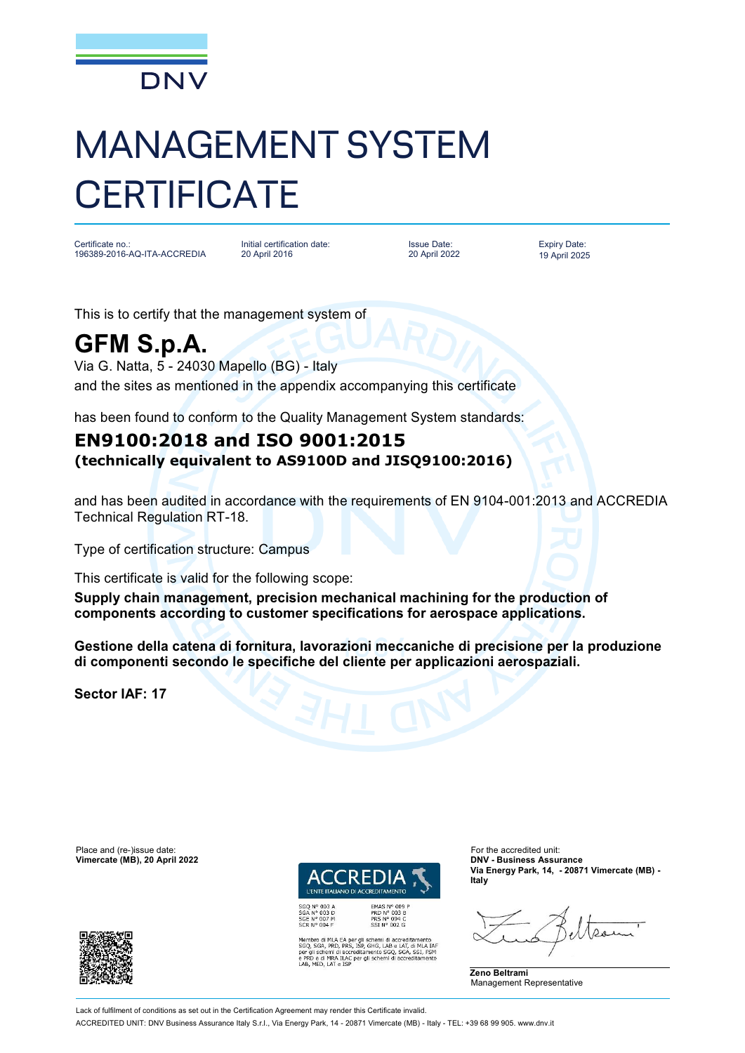

## MANAGEMENT SYSTEM **CERTIFICATE**

Certificate no.: 196389-2016-AQ-ITA-ACCREDIA

Initial certification date: 20 April 2016

Issue Date: 20 April 2022 Expiry Date: 19 April 2025

This is to certify that the management system of

## **GFM S.p.A.**

Via G. Natta, 5 - 24030 Mapello (BG) - Italy and the sites as mentioned in the appendix accompanying this certificate

has been found to conform to the Quality Management System standards:

## **EN9100:2018 and ISO 9001:2015 (technically equivalent to AS9100D and JISQ9100:2016)**

and has been audited in accordance with the requirements of EN 9104-001:2013 and ACCREDIA Technical Regulation RT-18.

Type of certification structure: Campus

This certificate is valid for the following scope:

**Supply chain management, precision mechanical machining for the production of components according to customer specifications for aerospace applications.**

**Gestione della catena di fornitura, lavorazioni meccaniche di precisione per la produzione di componenti secondo le specifiche del cliente per applicazioni aerospaziali.**

**Sector IAF: 17**

Place and (re-)issue date:<br> **Vimercate (MB), 20 April 2022 Contract COVID-100 COVID-2009 COVID-2009 COVID-2009 COVID-2009 COVID-2009 COVID-2009 COVID-2009 COVID-2009 COVID-2009 COVID-2009 COVID-2009**  $V$ imercate (MB), 20 April 2022



PRD Nº 003 B<br>PRS Nº 094 C<br>SSI Nº 002 G

SGQ N° 003 A<br>SGA N° 003 D<br>SGE N° 007 M<br>SCR N° 004 F

pro di MLA EA per gli schemi di accreditamento<br>SGA, PRD, PRS, ISP, GHG, LAB e LAT, di MLA IAR<br>Il schemi di accreditamento SGQ, SGA, SSI, FSM<br>I schemi di accreditamento SGQ, SGA, SSI, FSM<br>) e di MRA ILAC per gli schemi di a e di MRA ILAC per gli schemi di accre<br>IED. LAT e ISP

**Via Energy Park, 14, - 20871 Vimercate (MB) - Italy**





Lack of fulfilment of conditions as set out in the Certification Agreement may render this Certificate invalid ACCREDITED UNIT: DNV Business Assurance Italy S.r.l., Via Energy Park, 14 - 20871 Vimercate (MB) - Italy - TEL: +39 68 99 905. [www.dnv.it](http://www.dnv.it)